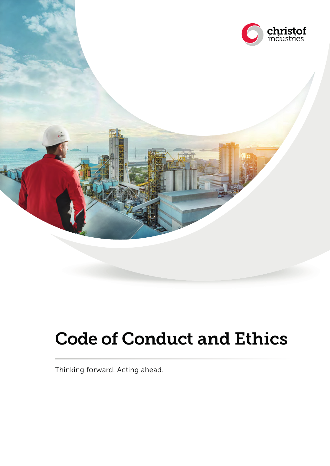

# **Code of Conduct and Ethics**

Thinking forward. Acting ahead.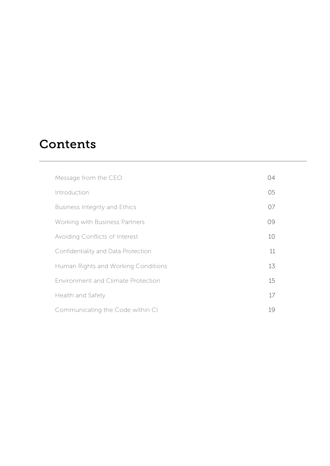## **Contents**

| Message from the CEO                      | 04 |
|-------------------------------------------|----|
| Introduction                              | 05 |
| <b>Business Integrity and Ethics</b>      | 07 |
| Working with Business Partners            | 09 |
| Avoiding Conflicts of Interest            | 10 |
| Confidentiality and Data Protection       | 11 |
| Human Rights and Working Conditions       | 13 |
| <b>Environment and Climate Protection</b> | 15 |
| Health and Safety                         | 17 |
| Communicating the Code within CI          | 19 |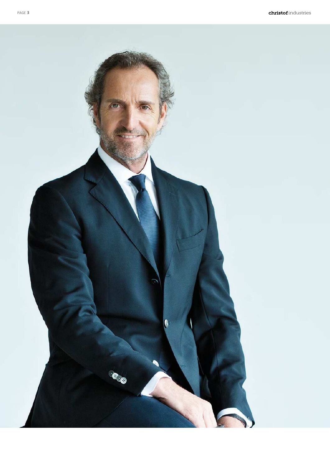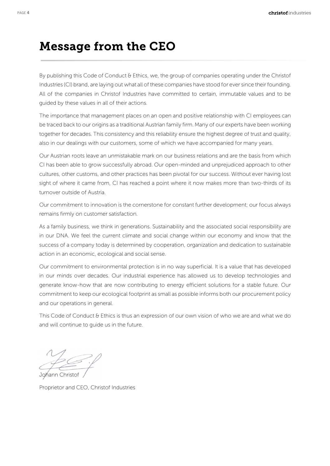### Message from the CEO ļ

By publishing this Code of Conduct & Ethics, we, the group of companies operating under the Christof Industries (CI) brand, are laying out what all of these companies have stood for ever since their founding. All of the companies in Christof Industries have committed to certain, immutable values and to be guided by these values in all of their actions.

The importance that management places on an open and positive relationship with CI employees can be traced back to our origins as a traditional Austrian family firm. Many of our experts have been working together for decades. This consistency and this reliability ensure the highest degree of trust and quality, also in our dealings with our customers, some of which we have accompanied for many years.

Our Austrian roots leave an unmistakable mark on our business relations and are the basis from which CI has been able to grow successfully abroad. Our open-minded and unprejudiced approach to other cultures, other customs, and other practices has been pivotal for our success. Without ever having lost sight of where it came from, CI has reached a point where it now makes more than two-thirds of its turnover outside of Austria.

Our commitment to innovation is the cornerstone for constant further development; our focus always remains firmly on customer satisfaction.

As a family business, we think in generations. Sustainability and the associated social responsibility are in our DNA. We feel the current climate and social change within our economy and know that the success of a company today is determined by cooperation, organization and dedication to sustainable action in an economic, ecological and social sense.

Our commitment to environmental protection is in no way superficial. It is a value that has developed in our minds over decades. Our industrial experience has allowed us to develop technologies and generate know-how that are now contributing to energy efficient solutions for a stable future. Our commitment to keep our ecological footprint as small as possible informs both our procurement policy and our operations in general.

This Code of Conduct & Ethics is thus an expression of our own vision of who we are and what we do and will continue to guide us in the future.

Johann Christof

Proprietor and CEO, Christof Industries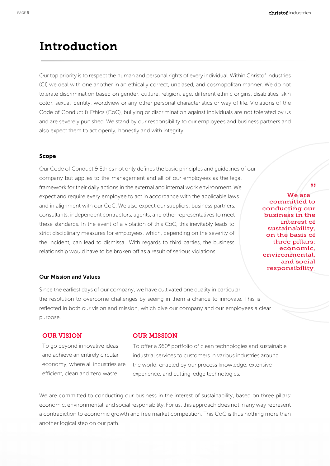### Introduction ļ

Our top priority is to respect the human and personal rights of every individual. Within Christof Industries (CI) we deal with one another in an ethically correct, unbiased, and cosmopolitan manner. We do not tolerate discrimination based on gender, culture, religion, age, different ethnic origins, disabilities, skin color, sexual identity, worldview or any other personal characteristics or way of life. Violations of the Code of Conduct & Ethics (CoC), bullying or discrimination against individuals are not tolerated by us and are severely punished. We stand by our responsibility to our employees and business partners and also expect them to act openly, honestly and with integrity.

#### Scope

Our Code of Conduct & Ethics not only defines the basic principles and guidelines of our company but applies to the management and all of our employees as the legal framework for their daily actions in the external and internal work environment. We expect and require every employee to act in accordance with the applicable laws and in alignment with our CoC. We also expect our suppliers, business partners, consultants, independent contractors, agents, and other representatives to meet these standards. In the event of a violation of this CoC, this inevitably leads to strict disciplinary measures for employees, which, depending on the severity of the incident, can lead to dismissal. With regards to third parties, the business relationship would have to be broken off as a result of serious violations.

We are committed to conducting our business in the interest of sustainability, on the basis of three pillars: economic, environmental, and social responsibility.

**"**

#### Our Mission and Values

Since the earliest days of our company, we have cultivated one quality in particular: the resolution to overcome challenges by seeing in them a chance to innovate. This is reflected in both our vision and mission, which give our company and our employees a clear purpose.

To go beyond innovative ideas and achieve an entirely circular economy, where all industries are efficient, clean and zero waste.

#### OUR VISION OUR MISSION

To offer a 360° portfolio of clean technologies and sustainable industrial services to customers in various industries around the world, enabled by our process knowledge, extensive experience, and cutting-edge technologies.

We are committed to conducting our business in the interest of sustainability, based on three pillars: economic, environmental, and social responsibility. For us, this approach does not in any way represent a contradiction to economic growth and free market competition. This CoC is thus nothing more than another logical step on our path.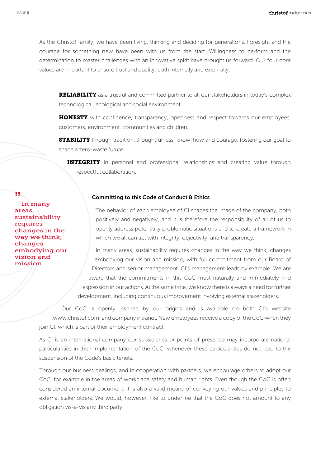As the Christof family, we have been living, thinking and deciding for generations. Foresight and the courage for something new have been with us from the start. Willingness to perform and the determination to master challenges with an innovative spirit have brought us forward. Our four core values are important to ensure trust and quality, both internally and externally.

**RELIABILITY** as a trustful and committed partner to all our stakeholders in today's complex technological, ecological and social environment.

HONESTY with confidence, transparency, openness and respect towards our employees, customers, environment, communities and children.

**STABILITY** through tradition, thoughtfulness, know-how and courage, fostering our goal to shape a zero-waste future.

**INTEGRITY** in personal and professional relationships and creating value through respectful collaboration.

Committing to this Code of Conduct & Ethics

The behavior of each employee of CI shapes the image of the company, both positively and negatively, and it is therefore the responsibility of all of us to openly address potentially problematic situations and to create a framework in which we all can act with integrity, objectivity, and transparency.

In many areas, sustainability requires changes in the way we think; changes embodying our vision and mission, with full commitment from our Board of Directors and senior management. CI's management leads by example. We are aware that the commitments in this CoC must naturally and immediately find expression in our actions. At the same time, we know there is always a need for further development, including continuous improvement involving external stakeholders.

Our CoC is openly inspired by our origins and is available on both CI's website (www.christof.com) and company intranet. New employees receive a copy of the CoC when they join CI, which is part of their employment contract.

As CI is an international company our subsidiaries or points of presence may incorporate national particularities in their implementation of the CoC, whenever these particularities do not lead to the suspension of the Code's basic tenets.

Through our business dealings, and in cooperation with partners, we encourage others to adopt our CoC, for example in the areas of workplace safety and human rights. Even though the CoC is often considered an internal document, it is also a valid means of conveying our values and principles to external stakeholders. We would, however, like to underline that the CoC does not amount to any obligation vis-a-vis any third party.

**"**

areas,

requires

changes

In many

sustainability

changes in the way we think;

embodying our vision and mission.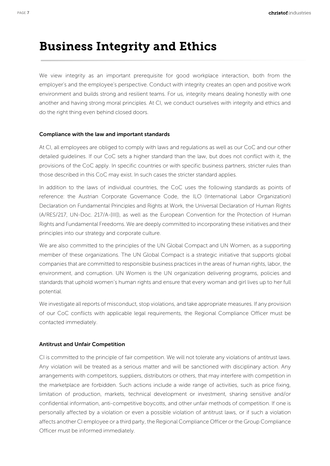### Business Integrity and Ethics ļ

We view integrity as an important prerequisite for good workplace interaction, both from the employer's and the employee's perspective. Conduct with integrity creates an open and positive work environment and builds strong and resilient teams. For us, integrity means dealing honestly with one another and having strong moral principles. At CI, we conduct ourselves with integrity and ethics and do the right thing even behind closed doors.

#### Compliance with the law and important standards

At CI, all employees are obliged to comply with laws and regulations as well as our CoC and our other detailed guidelines. If our CoC sets a higher standard than the law, but does not conflict with it, the provisions of the CoC apply. In specific countries or with specific business partners, stricter rules than those described in this CoC may exist. In such cases the stricter standard applies.

In addition to the laws of individual countries, the CoC uses the following standards as points of reference: the Austrian Corporate Governance Code, the ILO (International Labor Organization) Declaration on Fundamental Principles and Rights at Work, the Universal Declaration of Human Rights (A/RES/217, UN-Doc. 217/A-[III]), as well as the European Convention for the Protection of Human Rights and Fundamental Freedoms. We are deeply committed to incorporating these initiatives and their principles into our strategy and corporate culture.

We are also committed to the principles of the UN Global Compact and UN Women, as a supporting member of these organizations. The UN Global Compact is a strategic initiative that supports global companies that are committed to responsible business practices in the areas of human rights, labor, the environment, and corruption. UN Women is the UN organization delivering programs, policies and standards that uphold women's human rights and ensure that every woman and girl lives up to her full potential.

We investigate all reports of misconduct, stop violations, and take appropriate measures. If any provision of our CoC conflicts with applicable legal requirements, the Regional Compliance Officer must be contacted immediately.

#### Antitrust and Unfair Competition

CI is committed to the principle of fair competition. We will not tolerate any violations of antitrust laws. Any violation will be treated as a serious matter and will be sanctioned with disciplinary action. Any arrangements with competitors, suppliers, distributors or others, that may interfere with competition in the marketplace are forbidden. Such actions include a wide range of activities, such as price fixing, limitation of production, markets, technical development or investment, sharing sensitive and/or confidential information, anti-competitive boycotts, and other unfair methods of competition. If one is personally affected by a violation or even a possible violation of antitrust laws, or if such a violation affects another CI employee or a third party, the Regional Compliance Officer or the Group Compliance Officer must be informed immediately.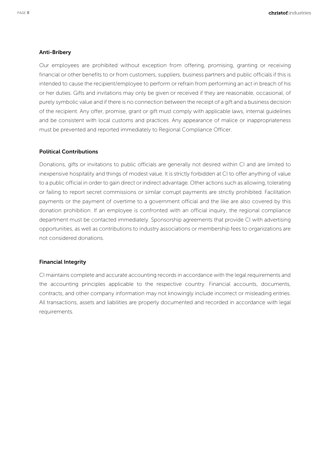#### Anti-Bribery

Our employees are prohibited without exception from offering, promising, granting or receiving financial or other benefits to or from customers, suppliers, business partners and public officials if this is intended to cause the recipient/employee to perform or refrain from performing an act in breach of his or her duties. Gifts and invitations may only be given or received if they are reasonable, occasional, of purely symbolic value and if there is no connection between the receipt of a gift and a business decision of the recipient. Any offer, promise, grant or gift must comply with applicable laws, internal guidelines and be consistent with local customs and practices. Any appearance of malice or inappropriateness must be prevented and reported immediately to Regional Compliance Officer.

#### Political Contributions

Donations, gifts or invitations to public officials are generally not desired within CI and are limited to inexpensive hospitality and things of modest value. It is strictly forbidden at CI to offer anything of value to a public official in order to gain direct or indirect advantage. Other actions such as allowing, tolerating or failing to report secret commissions or similar corrupt payments are strictly prohibited. Facilitation payments or the payment of overtime to a government official and the like are also covered by this donation prohibition. If an employee is confronted with an official inquiry, the regional compliance department must be contacted immediately. Sponsorship agreements that provide CI with advertising opportunities, as well as contributions to industry associations or membership fees to organizations are not considered donations.

#### Financial Integrity

CI maintains complete and accurate accounting records in accordance with the legal requirements and the accounting principles applicable to the respective country. Financial accounts, documents, contracts, and other company information may not knowingly include incorrect or misleading entries. All transactions, assets and liabilities are properly documented and recorded in accordance with legal requirements.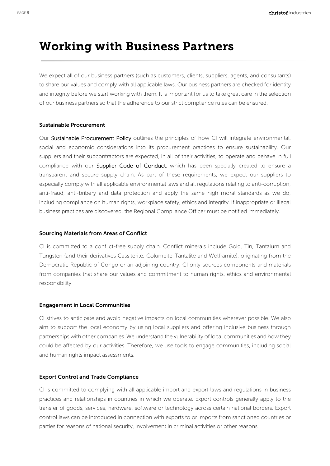### Working with Business Partners ļ

We expect all of our business partners (such as customers, clients, suppliers, agents, and consultants) to share our values and comply with all applicable laws. Our business partners are checked for identity and integrity before we start working with them. It is important for us to take great care in the selection of our business partners so that the adherence to our strict compliance rules can be ensured.

#### Sustainable Procurement

Our Sustainable Procurement Policy outlines the principles of how CI will integrate environmental, social and economic considerations into its procurement practices to ensure sustainability. Our suppliers and their subcontractors are expected, in all of their activities, to operate and behave in full compliance with our Supplier Code of Conduct, which has been specially created to ensure a transparent and secure supply chain. As part of these requirements, we expect our suppliers to especially comply with all applicable environmental laws and all regulations relating to anti-corruption, anti-fraud, anti-bribery and data protection and apply the same high moral standards as we do, including compliance on human rights, workplace safety, ethics and integrity. If inappropriate or illegal business practices are discovered, the Regional Compliance Officer must be notified immediately.

#### Sourcing Materials from Areas of Conflict

CI is committed to a conflict-free supply chain. Conflict minerals include Gold, Tin, Tantalum and Tungsten (and their derivatives Cassiterite, Columbite-Tantalite and Wolframite), originating from the Democratic Republic of Congo or an adjoining country. CI only sources components and materials from companies that share our values and commitment to human rights, ethics and environmental responsibility.

#### Engagement in Local Communities

CI strives to anticipate and avoid negative impacts on local communities wherever possible. We also aim to support the local economy by using local suppliers and offering inclusive business through partnerships with other companies. We understand the vulnerability of local communities and how they could be affected by our activities. Therefore, we use tools to engage communities, including social and human rights impact assessments.

#### Export Control and Trade Compliance

CI is committed to complying with all applicable import and export laws and regulations in business practices and relationships in countries in which we operate. Export controls generally apply to the transfer of goods, services, hardware, software or technology across certain national borders. Export control laws can be introduced in connection with exports to or imports from sanctioned countries or parties for reasons of national security, involvement in criminal activities or other reasons.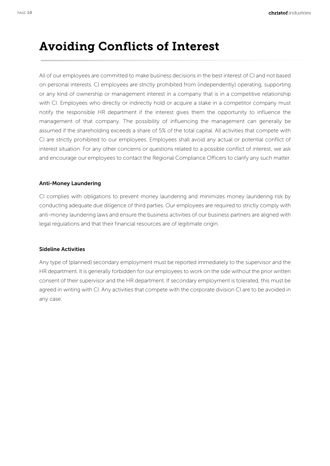### Avoiding Conflicts of Interest

All of our employees are committed to make business decisions in the best interest of CI and not based on personal interests. CI employees are strictly prohibited from (independently) operating, supporting or any kind of ownership or management interest in a company that is in a competitive relationship with CI. Employees who directly or indirectly hold or acquire a stake in a competitor company must notify the responsible HR department if the interest gives them the opportunity to influence the management of that company. The possibility of influencing the management can generally be assumed if the shareholding exceeds a share of 5% of the total capital. All activities that compete with CI are strictly prohibited to our employees. Employees shall avoid any actual or potential conflict of interest situation. For any other concerns or questions related to a possible conflict of interest, we ask and encourage our employees to contact the Regional Compliance Officers to clarify any such matter.

#### Anti-Money Laundering

CI complies with obligations to prevent money laundering and minimizes money laundering risk by conducting adequate due diligence of third parties. Our employees are required to strictly comply with anti-money laundering laws and ensure the business activities of our business partners are aligned with legal regulations and that their financial resources are of legitimate origin.

#### Sideline Activities

Any type of (planned) secondary employment must be reported immediately to the supervisor and the HR department. It is generally forbidden for our employees to work on the side without the prior written consent of their supervisor and the HR department. If secondary employment is tolerated, this must be agreed in writing with CI. Any activities that compete with the corporate division CI are to be avoided in any case.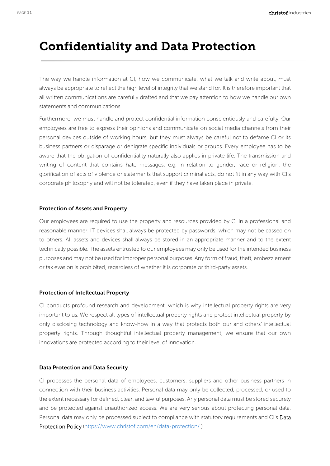### Confidentiality and Data Protection

The way we handle information at CI, how we communicate, what we talk and write about, must always be appropriate to reflect the high level of integrity that we stand for. It is therefore important that all written communications are carefully drafted and that we pay attention to how we handle our own statements and communications.

Furthermore, we must handle and protect confidential information conscientiously and carefully. Our employees are free to express their opinions and communicate on social media channels from their personal devices outside of working hours, but they must always be careful not to defame CI or its business partners or disparage or denigrate specific individuals or groups. Every employee has to be aware that the obligation of confidentiality naturally also applies in private life. The transmission and writing of content that contains hate messages, e.g. in relation to gender, race or religion, the glorification of acts of violence or statements that support criminal acts, do not fit in any way with CI's corporate philosophy and will not be tolerated, even if they have taken place in private.

#### Protection of Assets and Property

Our employees are required to use the property and resources provided by CI in a professional and reasonable manner. IT devices shall always be protected by passwords, which may not be passed on to others. All assets and devices shall always be stored in an appropriate manner and to the extent technically possible. The assets entrusted to our employees may only be used for the intended business purposes and may not be used for improper personal purposes. Any form of fraud, theft, embezzlement or tax evasion is prohibited, regardless of whether it is corporate or third-party assets.

#### Protection of Intellectual Property

CI conducts profound research and development, which is why intellectual property rights are very important to us. We respect all types of intellectual property rights and protect intellectual property by only disclosing technology and know-how in a way that protects both our and others' intellectual property rights. Through thoughtful intellectual property management, we ensure that our own innovations are protected according to their level of innovation.

#### Data Protection and Data Security

CI processes the personal data of employees, customers, suppliers and other business partners in connection with their business activities. Personal data may only be collected, processed, or used to the extent necessary for defined, clear, and lawful purposes. Any personal data must be stored securely and be protected against unauthorized access. We are very serious about protecting personal data. Personal data may only be processed subject to compliance with statutory requirements and CI's Data Protection Policy (https://www.christof.com/en/data-protection/).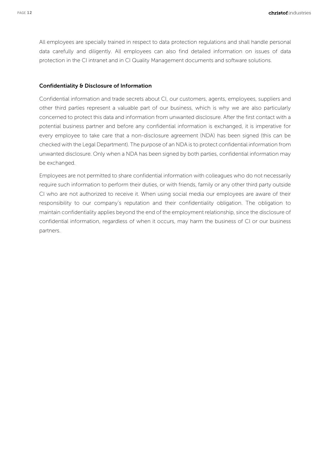All employees are specially trained in respect to data protection regulations and shall handle personal data carefully and diligently. All employees can also find detailed information on issues of data protection in the CI intranet and in CI Quality Management documents and software solutions.

#### Confidentiality & Disclosure of Information

Confidential information and trade secrets about CI, our customers, agents, employees, suppliers and other third parties represent a valuable part of our business, which is why we are also particularly concerned to protect this data and information from unwanted disclosure. After the first contact with a potential business partner and before any confidential information is exchanged, it is imperative for every employee to take care that a non-disclosure agreement (NDA) has been signed (this can be checked with the Legal Department). The purpose of an NDA is to protect confidential information from unwanted disclosure. Only when a NDA has been signed by both parties, confidential information may be exchanged.

Employees are not permitted to share confidential information with colleagues who do not necessarily require such information to perform their duties, or with friends, family or any other third party outside CI who are not authorized to receive it. When using social media our employees are aware of their responsibility to our company's reputation and their confidentiality obligation. The obligation to maintain confidentiality applies beyond the end of the employment relationship, since the disclosure of confidential information, regardless of when it occurs, may harm the business of CI or our business partners.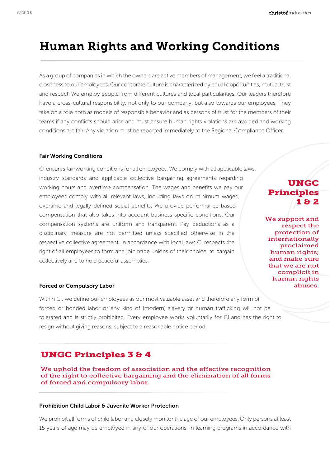### Human Rights and Working Conditions ļ

As a group of companies in which the owners are active members of management, we feel a traditional closeness to our employees. Our corporate culture is characterized by equal opportunities, mutual trust and respect. We employ people from different cultures and local particularities. Our leaders therefore have a cross-cultural responsibility, not only to our company, but also towards our employees. They take on a role both as models of responsible behavior and as persons of trust for the members of their teams if any conflicts should arise and must ensure human rights violations are avoided and working conditions are fair. Any violation must be reported immediately to the Regional Compliance Officer.

#### Fair Working Conditions

CI ensures fair working conditions for all employees. We comply with all applicable laws, industry standards and applicable collective bargaining agreements regarding working hours and overtime compensation. The wages and benefits we pay our employees comply with all relevant laws, including laws on minimum wages, overtime and legally defined social benefits. We provide performance-based compensation that also takes into account business-specific conditions. Our compensation systems are uniform and transparent. Pay deductions as a disciplinary measure are not permitted unless specified otherwise in the respective collective agreement. In accordance with local laws CI respects the right of all employees to form and join trade unions of their choice, to bargain collectively and to hold peaceful assemblies.

#### Forced or Compulsory Labor

Within CI, we define our employees as our most valuable asset and therefore any form of forced or bonded labor or any kind of (modern) slavery or human trafficking will not be tolerated and is strictly prohibited. Every employee works voluntarily for CI and has the right to resign without giving reasons, subject to a reasonable notice period.

#### UNGC Principles 3 & 4

We uphold the freedom of association and the effective recognition of the right to collective bargaining and the elimination of all forms of forced and compulsory labor.

#### Prohibition Child Labor & Juvenile Worker Protection

We prohibit all forms of child labor and closely monitor the age of our employees. Only persons at least 15 years of age may be employed in any of our operations, in learning programs in accordance with

UNGC Principles 1 & 2

We support and respect the protection of internationally proclaimed human rights; and make sure that we are not complicit in human rights abuses.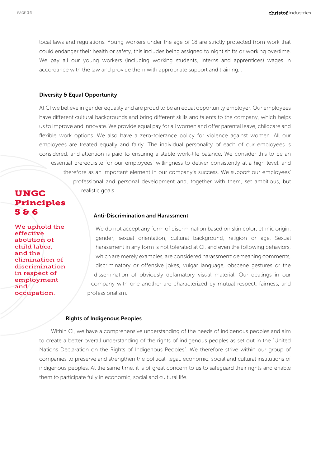local laws and regulations. Young workers under the age of 18 are strictly protected from work that could endanger their health or safety, this includes being assigned to night shifts or working overtime. We pay all our young workers (including working students, interns and apprentices) wages in accordance with the law and provide them with appropriate support and training. .

#### Diversity & Equal Opportunity

At CI we believe in gender equality and are proud to be an equal opportunity employer. Our employees have different cultural backgrounds and bring different skills and talents to the company, which helps us to improve and innovate. We provide equal pay for all women and offer parental leave, childcare and flexible work options. We also have a zero-tolerance policy for violence against women. All our employees are treated equally and fairly. The individual personality of each of our employees is considered, and attention is paid to ensuring a stable work-life balance. We consider this to be an essential prerequisite for our employees' willingness to deliver consistently at a high level, and therefore as an important element in our company's success. We support our employees' professional and personal development and, together with them, set ambitious, but realistic goals.

### UNGC Principles 5 & 6

We uphold the effective abolition of child labor; and the elimination of discrimination in respect of employment and occupation.

#### Anti-Discrimination and Harassment

We do not accept any form of discrimination based on skin color, ethnic origin, gender, sexual orientation, cultural background, religion or age. Sexual harassment in any form is not tolerated at CI, and even the following behaviors, which are merely examples, are considered harassment: demeaning comments, discriminatory or offensive jokes, vulgar language, obscene gestures or the dissemination of obviously defamatory visual material. Our dealings in our company with one another are characterized by mutual respect, fairness, and professionalism.

#### Rights of Indigenous Peoples

Within CI, we have a comprehensive understanding of the needs of indigenous peoples and aim to create a better overall understanding of the rights of indigenous peoples as set out in the "United Nations Declaration on the Rights of Indigenous Peoples". We therefore strive within our group of companies to preserve and strengthen the political, legal, economic, social and cultural institutions of indigenous peoples. At the same time, it is of great concern to us to safeguard their rights and enable them to participate fully in economic, social and cultural life.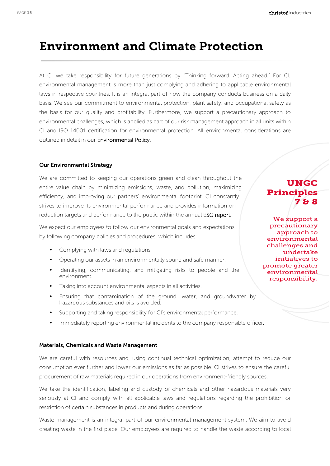### Environment and Climate Protection ļ

At CI we take responsibility for future generations by "Thinking forward. Acting ahead." For CI, environmental management is more than just complying and adhering to applicable environmental laws in respective countries. It is an integral part of how the company conducts business on a daily basis. We see our commitment to environmental protection, plant safety, and occupational safety as the basis for our quality and profitability. Furthermore, we support a precautionary approach to environmental challenges, which is applied as part of our risk management approach in all units within CI and ISO 14001 certification for environmental protection. All environmental considerations are outlined in detail in our Environmental Policy.

#### Our Environmental Strategy

We are committed to keeping our operations green and clean throughout the entire value chain by minimizing emissions, waste, and pollution, maximizing efficiency, and improving our partners' environmental footprint. CI constantly strives to improve its environmental performance and provides information on reduction targets and performance to the public within the annual ESG report.

We expect our employees to follow our environmental goals and expectations by following company policies and procedures, which includes:

- Complying with laws and regulations.
- Operating our assets in an environmentally sound and safe manner.
- Identifying, communicating, and mitigating risks to people and the environment.
- Taking into account environmental aspects in all activities.
- Ensuring that contamination of the ground, water, and groundwater by hazardous substances and oils is avoided.
- Supporting and taking responsibility for CI's environmental performance.
- Immediately reporting environmental incidents to the company responsible officer.

#### Materials, Chemicals and Waste Management

We are careful with resources and, using continual technical optimization, attempt to reduce our consumption ever further and lower our emissions as far as possible. CI strives to ensure the careful procurement of raw materials required in our operations from environment-friendly sources.

We take the identification, labeling and custody of chemicals and other hazardous materials very seriously at CI and comply with all applicable laws and regulations regarding the prohibition or restriction of certain substances in products and during operations.

Waste management is an integral part of our environmental management system. We aim to avoid creating waste in the first place. Our employees are required to handle the waste according to local

#### UNGC Principles 7 & 8

We support a precautionary approach to environmental challenges and undertake initiatives to promote greater environmental responsibility.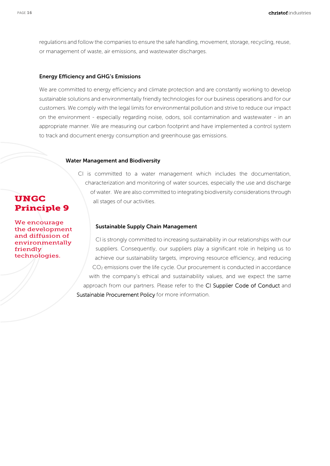regulations and follow the companies to ensure the safe handling, movement, storage, recycling, reuse, or management of waste, air emissions, and wastewater discharges.

#### Energy Efficiency and GHG's Emissions

We are committed to energy efficiency and climate protection and are constantly working to develop sustainable solutions and environmentally friendly technologies for our business operations and for our customers. We comply with the legal limits for environmental pollution and strive to reduce our impact on the environment - especially regarding noise, odors, soil contamination and wastewater - in an appropriate manner. We are measuring our carbon footprint and have implemented a control system to track and document energy consumption and greenhouse gas emissions.

#### Water Management and Biodiversity

CI is committed to a water management which includes the documentation, characterization and monitoring of water sources, especially the use and discharge of water. We are also committed to integrating biodiversity considerations through all stages of our activities.

#### Sustainable Supply Chain Management

CI is strongly committed to increasing sustainability in our relationships with our suppliers. Consequently, our suppliers play a significant role in helping us to achieve our sustainability targets, improving resource efficiency, and reducing CO<sub>2</sub> emissions over the life cycle. Our procurement is conducted in accordance with the company's ethical and sustainability values, and we expect the same approach from our partners. Please refer to the CI Supplier Code of Conduct and Sustainable Procurement Policy for more information.

### UNGC Principle 9

We encourage the development and diffusion of environmentally friendly technologies.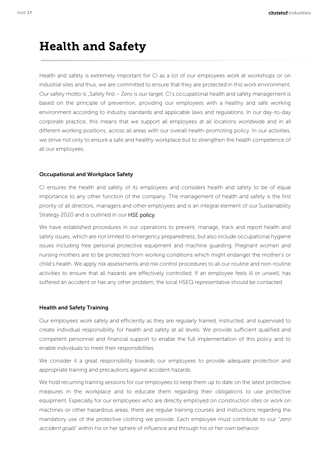Health and safety is extremely important for CI as a lot of our employees work at workshops or on industrial sites and thus, we are committed to ensure that they are protected in this work environment. Our safety motto is "Safety first – Zero is our target. CI's occupational health and safety management is based on the principle of prevention, providing our employees with a healthy and safe working environment according to industry standards and applicable laws and regulations. In our day-to-day corporate practice, this means that we support all employees at all locations worldwide and in all different working positions, across all areas with our overall health-promoting policy. In our activities, we strive not only to ensure a safe and healthy workplace but to strengthen the health competence of all our employees.

#### Occupational and Workplace Safety

CI ensures the health and safety of its employees and considers health and safety to be of equal importance to any other function of the company. The management of health and safety is the first priority of all directors, managers and other employees and is an integral element of our Sustainability Strategy 2020 and is outlined in our HSE policy.

We have established procedures in our operations to prevent, manage, track and report health and safety issues, which are not limited to emergency preparedness, but also include occupational hygiene issues including free personal protective equipment and machine guarding. Pregnant women and nursing mothers are to be protected from working conditions which might endanger the mother's or child's health. We apply risk assessments and risk control procedures to all our routine and non-routine activities to ensure that all hazards are effectively controlled. If an employee feels ill or unwell, has suffered an accident or has any other problem, the local HSEQ representative should be contacted.

#### Health and Safety Training

Our employees work safely and efficiently as they are regularly trained, instructed, and supervised to create individual responsibility for health and safety at all levels. We provide sufficient qualified and competent personnel and financial support to enable the full implementation of this policy and to enable individuals to meet their responsibilities.

We consider it a great responsibility towards our employees to provide adequate protection and appropriate training and precautions against accident hazards.

We hold recurring training sessions for our employees to keep them up to date on the latest protective measures in the workplace and to educate them regarding their obligations to use protective equipment. Especially for our employees who are directly employed on construction sites or work on machines or other hazardous areas, there are regular training courses and instructions regarding the mandatory use of the protective clothing we provide. Each employee must contribute to our "zero" accident goals" within his or her sphere of influence and through his or her own behavior.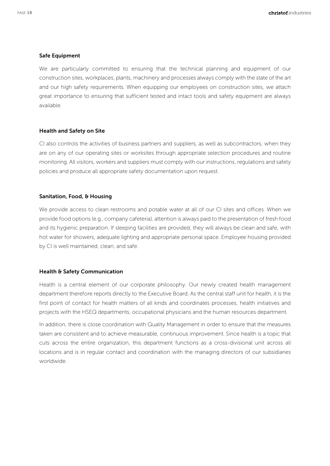#### Safe Equipment

We are particularly committed to ensuring that the technical planning and equipment of our construction sites, workplaces, plants, machinery and processes always comply with the state of the art and our high safety requirements. When equipping our employees on construction sites, we attach great importance to ensuring that sufficient tested and intact tools and safety equipment are always available.

#### Health and Safety on Site

CI also controls the activities of business partners and suppliers, as well as subcontractors, when they are on any of our operating sites or worksites through appropriate selection procedures and routine monitoring. All visitors, workers and suppliers must comply with our instructions, regulations and safety policies and produce all appropriate safety documentation upon request.

#### Sanitation, Food, & Housing

We provide access to clean restrooms and potable water at all of our CI sites and offices. When we provide food options (e.g., company cafeteria), attention is always paid to the presentation of fresh food and its hygienic preparation. If sleeping facilities are provided, they will always be clean and safe, with hot water for showers, adequate lighting and appropriate personal space. Employee housing provided by CI is well maintained, clean, and safe.

#### Health & Safety Communication

Health is a central element of our corporate philosophy. Our newly created health management department therefore reports directly to the Executive Board. As the central staff unit for health, it is the first point of contact for health matters of all kinds and coordinates processes, health initiatives and projects with the HSEQ departments, occupational physicians and the human resources department.

In addition, there is close coordination with Quality Management in order to ensure that the measures taken are consistent and to achieve measurable, continuous improvement. Since health is a topic that cuts across the entire organization, this department functions as a cross-divisional unit across all locations and is in regular contact and coordination with the managing directors of our subsidiaries worldwide.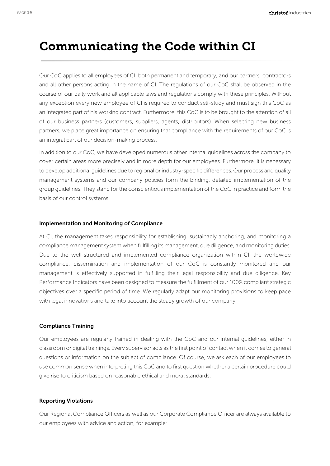### Communicating the Code within CI ļ

Our CoC applies to all employees of CI, both permanent and temporary, and our partners, contractors and all other persons acting in the name of CI. The regulations of our CoC shall be observed in the course of our daily work and all applicable laws and regulations comply with these principles. Without any exception every new employee of CI is required to conduct self-study and must sign this CoC as an integrated part of his working contract. Furthermore, this CoC is to be brought to the attention of all of our business partners (customers, suppliers, agents, distributors). When selecting new business partners, we place great importance on ensuring that compliance with the requirements of our CoC is an integral part of our decision-making process.

In addition to our CoC, we have developed numerous other internal guidelines across the company to cover certain areas more precisely and in more depth for our employees. Furthermore, it is necessary to develop additional guidelines due to regional or industry-specific differences. Our process and quality management systems and our company policies form the binding, detailed implementation of the group guidelines. They stand for the conscientious implementation of the CoC in practice and form the basis of our control systems.

#### Implementation and Monitoring of Compliance

At CI, the management takes responsibility for establishing, sustainably anchoring, and monitoring a compliance management system when fulfilling its management, due diligence, and monitoring duties. Due to the well-structured and implemented compliance organization within CI, the worldwide compliance, dissemination and implementation of our CoC is constantly monitored and our management is effectively supported in fulfilling their legal responsibility and due diligence. Key Performance Indicators have been designed to measure the fulfillment of our 100% compliant strategic objectives over a specific period of time. We regularly adapt our monitoring provisions to keep pace with legal innovations and take into account the steady growth of our company.

#### Compliance Training

Our employees are regularly trained in dealing with the CoC and our internal guidelines, either in classroom or digital trainings. Every supervisor acts as the first point of contact when it comes to general questions or information on the subject of compliance. Of course, we ask each of our employees to use common sense when interpreting this CoC and to first question whether a certain procedure could give rise to criticism based on reasonable ethical and moral standards.

#### Reporting Violations

Our Regional Compliance Officers as well as our Corporate Compliance Officer are always available to our employees with advice and action, for example: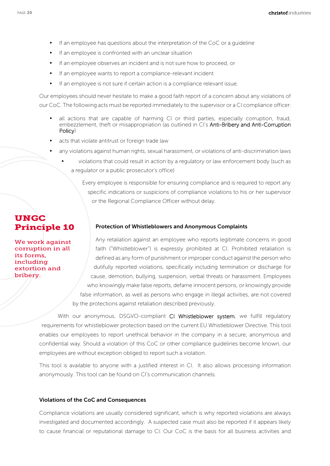- If an employee has questions about the interpretation of the CoC or a guideline
- If an employee is confronted with an unclear situation
- If an employee observes an incident and is not sure how to proceed, or
- If an employee wants to report a compliance-relevant incident
- If an employee is not sure if certain action is a compliance relevant issue.

Our employees should never hesitate to make a good faith report of a concern about any violations of our CoC. The following acts must be reported immediately to the supervisor or a CI compliance officer:

- all actions that are capable of harming CI or third parties, especially corruption, fraud, embezzlement, theft or misappropriation (as outlined in CI's Anti-Bribery and Anti-Corruption Policy)
- acts that violate antitrust or foreign trade law
- any violations against human rights, sexual harassment, or violations of anti-discrimination laws
	- violations that could result in action by a regulatory or law enforcement body (such as a regulator or a public prosecutor's office)

Every employee is responsible for ensuring compliance and is required to report any specific indications or suspicions of compliance violations to his or her supervisor or the Regional Compliance Officer without delay.

### UNGC Principle 10

We work against corruption in all its forms, including extortion and bribery.

#### Protection of Whistleblowers and Anonymous Complaints

Any retaliation against an employee who reports legitimate concerns in good faith ("Whistleblower") is expressly prohibited at CI. Prohibited retaliation is defined as any form of punishment or improper conduct against the person who dutifully reported violations, specifically including termination or discharge for cause, demotion, bullying, suspension, verbal threats or harassment. Employees who knowingly make false reports, defame innocent persons, or knowingly provide false information, as well as persons who engage in illegal activities, are not covered by the protections against retaliation described previously.

With our anonymous, DSGVO-compliant CI Whistleblower system, we fulfill regulatory requirements for whistleblower protection based on the current EU Whistleblower Directive. This tool enables our employees to report unethical behavior in the company in a secure, anonymous and confidential way. Should a violation of this CoC or other compliance guidelines become known, our employees are without exception obliged to report such a violation.

This tool is available to anyone with a justified interest in CI. It also allows processing information anonymously. This tool can be found on CI's communication channels.

#### Violations of the CoC and Consequences

Compliance violations are usually considered significant, which is why reported violations are always investigated and documented accordingly. A suspected case must also be reported if it appears likely to cause financial or reputational damage to CI. Our CoC is the basis for all business activities and